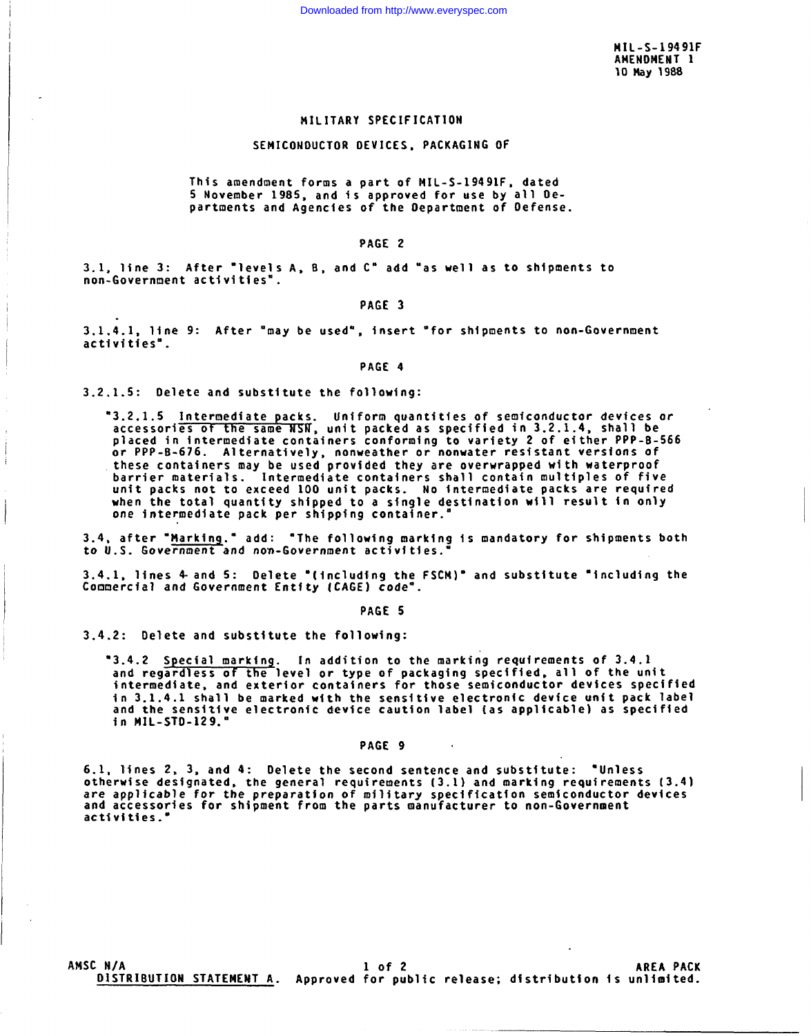**MIL-s-19491F AMENOMENT 1 ~0 ~y 1988**

## **MILITARY SPECIFICATION**

## **SEMICONDUCTOR DEVICES, PACKAGING OF**

**This amendment forms a part of MIL-S-19491F, dated 5 November 198S, and is approved for use by all Departments and Agencies of the i)epartment of Oefense.**

## PAGE 2

3.1, **line 3: After "levels A, 13, and C" add "as well as to shipments to**  $non-Govername{at}$   $activation$ <sup>\*</sup>.

### PAGE 3

**3.1.4.1, line 9: After 'may be used", insert "for shipments to non-Government activities".**

## **PAGE 4**

**3.2.1.5: Oelete and substitute the following:**

"3.2.1.5 <u>Intermediate packs</u>. Uniform quantities of semiconductor devices of<br>accessories of the same NSN, unit packed as specified in 3.2.1.4, shall be placed **in intermediate containers conforming to variety <sup>2</sup> of e~ther PPP-B-566** *or* **PPP-B-676. Alternatively, nonweather or nonwater resistantversions of these containers may be used provided they are overwrapped with waterproof barrier materials. Intermediate containers shall contain multiples of five unit** packs not to exceed 100 **unit** packs. No intermediate packs are required **when the total quantity shipped to a sfngle destination will result in only** *one* **intermediate pack per shipp\$ng container."**

**3.4, after "?4arkinq." add: "The folloutng marking is mandatory for shipments both to U.S. Government and** *non-Government* activities."

3.4.1, **lines 4-and 5: Delete "(including the FSCM)" and substitute "including the Commercial and Government Entity (CAGE) code-.**

## **PAGE 5**

**3.4.2: Delete and substitute the following:**

**'3.4.2 Special markin~. In addition to the marking requirements of 3.4.1 and regard less of the level or type of packaging specified, all of the unit intermediate, and exterior containers for those semiconductor devices specified in 3.1.4.1 shall be marked with the sensitive electronic device unit pack label and the sensitive electronic device caution label [as applicable) as specified in \$iIL-STD-129.0**

#### **PAGE 9 .**

**6.1, lines 2, 3, and 4: Oelete the second sentence and substitute: 'Unless otherwise designated, the general requirements (3.1) and marking requirements (3.4) are applicable for** *the* **preparation of military specification semiconductor devices and accessories for shipment from the parts manufacturer to non-Government activities."**

**AMSC N/A lof2 AREA PACK D1STR18UTIONSTATEMENTA. Approved for public release; distribution is unlfa)ited.**